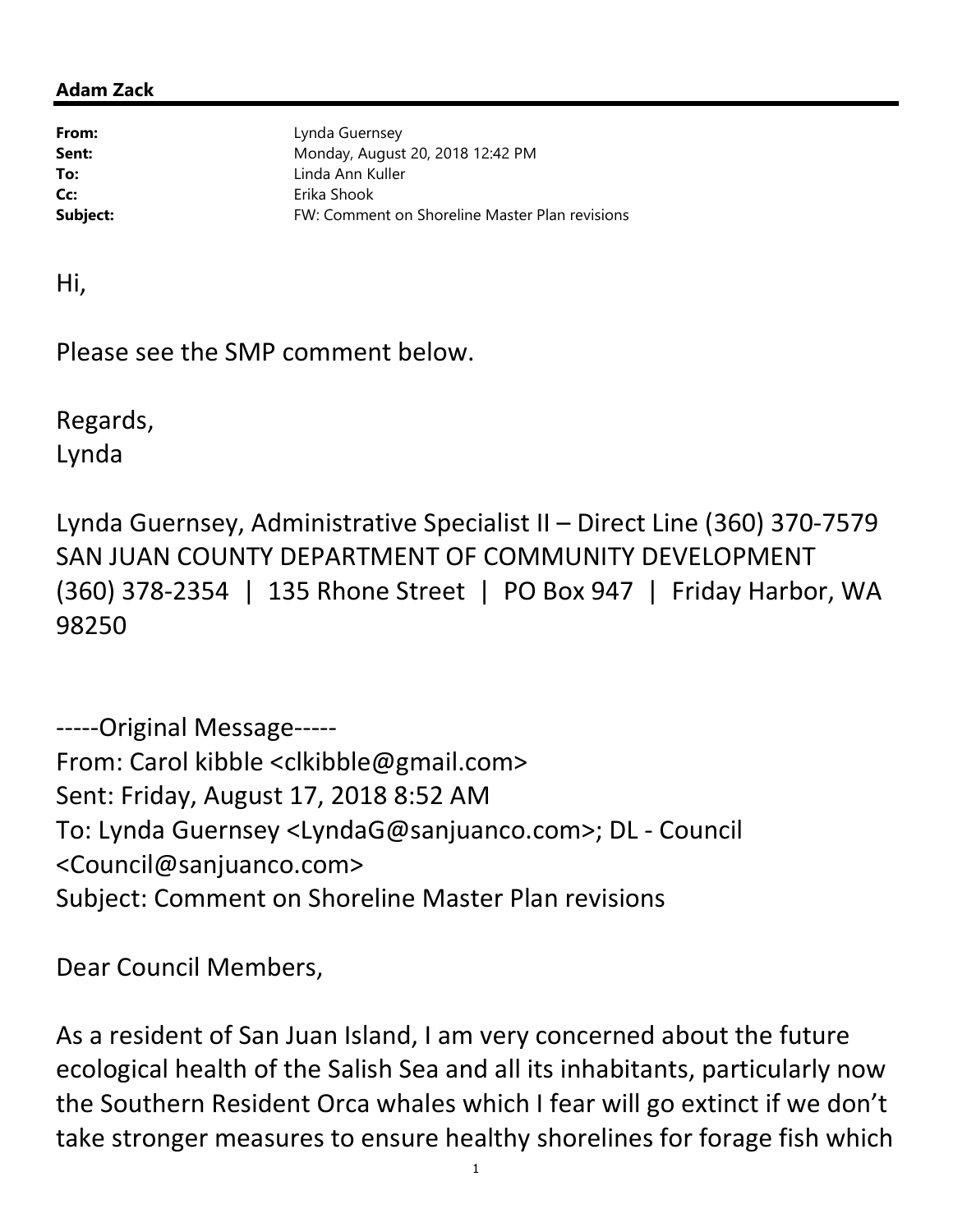## Adam Zack

From: Lynda Guernsey **Sent:** Monday, August 20, 2018 12:42 PM To: Linda Ann Kuller Cc: Erika Shook **Subject:** FW: Comment on Shoreline Master Plan revisions

Hi,

Please see the SMP comment below.

Regards, Lynda

Lynda Guernsey, Administrative Specialist II – Direct Line (360) 370-7579 SAN JUAN COUNTY DEPARTMENT OF COMMUNITY DEVELOPMENT (360) 378-2354 | 135 Rhone Street | PO Box 947 | Friday Harbor, WA 98250

-----Original Message----- From: Carol kibble <clkibble@gmail.com> Sent: Friday, August 17, 2018 8:52 AM To: Lynda Guernsey <LyndaG@sanjuanco.com>; DL - Council <Council@sanjuanco.com> Subject: Comment on Shoreline Master Plan revisions

Dear Council Members,

As a resident of San Juan Island, I am very concerned about the future ecological health of the Salish Sea and all its inhabitants, particularly now the Southern Resident Orca whales which I fear will go extinct if we don't take stronger measures to ensure healthy shorelines for forage fish which